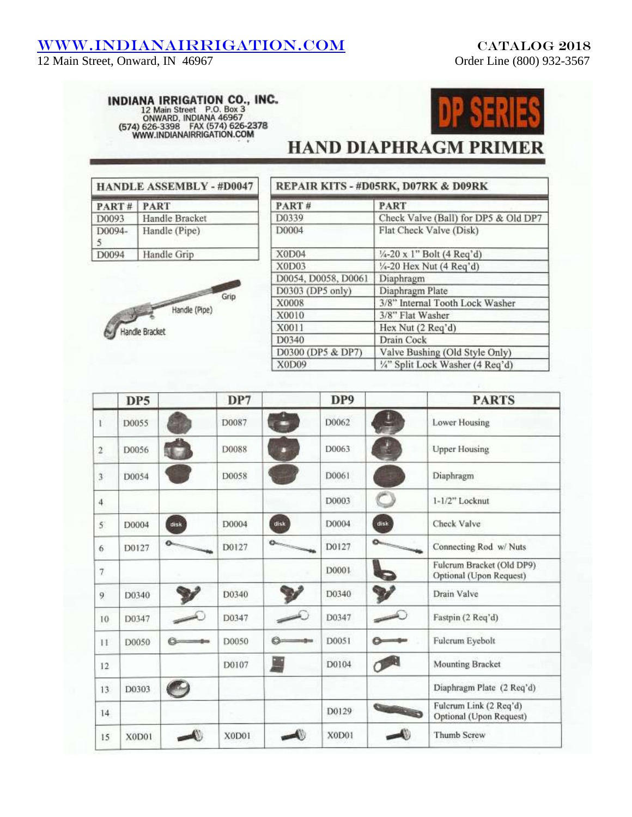#### WWW.INDIANAIRRIGATION.COM CATALOG 2018

**INDIANA IRRIGATION CO., INC.**<br>12 Main Street P.O. Box 3<br>ONWARD, INDIANA 46967<br>(574) 626-3398 FAX (574) 626-2378<br>WWW.INDIANAIRRIGATION.COM



# **HAND DIAPHRAGM PRIMER**

| <b>HANDLE ASSEMBLY - #D0047</b> |  |
|---------------------------------|--|

| PART#       | <b>PART</b>    |  |  |  |  |
|-------------|----------------|--|--|--|--|
| D0093       | Handle Bracket |  |  |  |  |
| D0094-<br>5 | Handle (Pipe)  |  |  |  |  |
| D0094       | Handle Grip    |  |  |  |  |



| REPAIR KITS - #D05RK, D07RK & D09RK |                                      |  |  |  |
|-------------------------------------|--------------------------------------|--|--|--|
| PART#                               | <b>PART</b>                          |  |  |  |
| D0339                               | Check Valve (Ball) for DP5 & Old DP7 |  |  |  |
| D0004                               | Flat Check Valve (Disk)              |  |  |  |
| X0D04                               | 1/4-20 x 1" Bolt (4 Req'd)           |  |  |  |
| X0D03                               | 1/4-20 Hex Nut (4 Req'd)             |  |  |  |
| D0054, D0058, D0061                 | Diaphragm                            |  |  |  |
| D0303 (DP5 only)                    | Diaphragm Plate                      |  |  |  |
| X0008                               | 3/8" Internal Tooth Lock Washer      |  |  |  |
| X0010                               | 3/8" Flat Washer                     |  |  |  |
| X0011                               | Hex Nut (2 Req'd)                    |  |  |  |
| D0340                               | Drain Cock                           |  |  |  |
| D0300 (DP5 & DP7)                   | Valve Bushing (Old Style Only)       |  |  |  |
| X0D09                               | '/4" Split Lock Washer (4 Req'd)     |  |  |  |

|                 | DP5          |            | DP7   |      | DP9   |                                                                                                                                                                                                                                                                                                                                                                         | <b>PARTS</b>                                         |
|-----------------|--------------|------------|-------|------|-------|-------------------------------------------------------------------------------------------------------------------------------------------------------------------------------------------------------------------------------------------------------------------------------------------------------------------------------------------------------------------------|------------------------------------------------------|
| E               | D0055        |            | D0087 |      | D0062 |                                                                                                                                                                                                                                                                                                                                                                         | Lower Housing                                        |
| $\overline{2}$  | D0056        |            | D0088 |      | D0063 |                                                                                                                                                                                                                                                                                                                                                                         | <b>Upper Housing</b>                                 |
| 3 <sup>2</sup>  | D0054        |            | D0058 |      | D0061 |                                                                                                                                                                                                                                                                                                                                                                         | Diaphragm                                            |
| $\overline{4}$  |              |            |       |      | D0003 | $\cup$                                                                                                                                                                                                                                                                                                                                                                  | $1 - 1/2$ <sup>**</sup> Locknut                      |
| $\overline{S}$  | D0004        | disk       | D0004 | disk | D0004 | disk                                                                                                                                                                                                                                                                                                                                                                    | Check Valve                                          |
| 6               | D0127        | $\sim$     | D0127 | 0    | D0127 | $\begin{picture}(20,20) \put(0,0){\dashbox{0.5}(10,0){ }} \put(15,0){\dashbox{0.5}(10,0){ }} \put(15,0){\dashbox{0.5}(10,0){ }} \put(15,0){\dashbox{0.5}(10,0){ }} \put(15,0){\dashbox{0.5}(10,0){ }} \put(15,0){\dashbox{0.5}(10,0){ }} \put(15,0){\dashbox{0.5}(10,0){ }} \put(15,0){\dashbox{0.5}(10,0){ }} \put(15,0){\dashbox{0.5}(10,0){ }} \put(15,0){\dashbox{$ | Connecting Rod w/ Nuts                               |
| 7               |              |            |       |      | D0001 |                                                                                                                                                                                                                                                                                                                                                                         | Fulcrum Bracket (Old DP9)<br>Optional (Upon Request) |
| 9               | D0340        |            | D0340 |      | D0340 |                                                                                                                                                                                                                                                                                                                                                                         | Drain Valve                                          |
| 10              | D0347        |            | D0347 |      | D0347 |                                                                                                                                                                                                                                                                                                                                                                         | Fastpin (2 Req'd)                                    |
| 11              | D0050        | c.<br>-gas | D0050 |      | D0051 |                                                                                                                                                                                                                                                                                                                                                                         | Fulcrum Eyebolt                                      |
| 12              |              |            | D0107 |      | D0104 |                                                                                                                                                                                                                                                                                                                                                                         | Mounting Bracket                                     |
| 13 <sup>°</sup> | D0303        |            |       |      |       |                                                                                                                                                                                                                                                                                                                                                                         | Diaphragm Plate (2 Req'd)                            |
| 14              |              |            |       |      | D0129 | <b>Charles Contact Contact Contact Contact Contact Contact Contact Contact Contact Contact Contact Contact Contact Contact Contact Contact Contact Contact Contact Contact Contact Contact Contact Contact Contact Contact Conta</b>                                                                                                                                    | Fulcrum Link (2 Req'd)<br>Optional (Upon Request)    |
| 15              | <b>X0D01</b> |            | X0D01 |      | X0D01 |                                                                                                                                                                                                                                                                                                                                                                         | Thumb Screw                                          |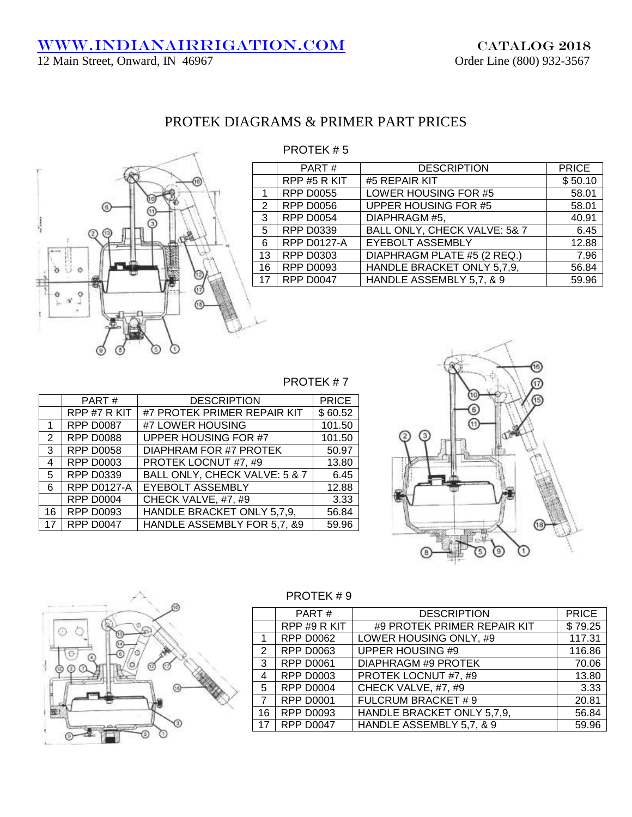#### PROTEK DIAGRAMS & PRIMER PART PRICES

PROTEK # 5



|    | PART#              | <b>DESCRIPTION</b>           | <b>PRICE</b> |
|----|--------------------|------------------------------|--------------|
|    | RPP #5 R KIT       | #5 REPAIR KIT                | \$50.10      |
|    | <b>RPP D0055</b>   | LOWER HOUSING FOR #5         | 58.01        |
| 2  | <b>RPP D0056</b>   | <b>UPPER HOUSING FOR #5</b>  | 58.01        |
| 3  | <b>RPP D0054</b>   | DIAPHRAGM #5,                | 40.91        |
| 5  | <b>RPP D0339</b>   | BALL ONLY, CHECK VALVE: 5& 7 | 6.45         |
| 6  | <b>RPP D0127-A</b> | <b>EYEBOLT ASSEMBLY</b>      | 12.88        |
| 13 | <b>RPP D0303</b>   | DIAPHRAGM PLATE #5 (2 REQ.)  | 7.96         |
| 16 | <b>RPP D0093</b>   | HANDLE BRACKET ONLY 5,7,9,   | 56.84        |
| 17 | <b>RPP D0047</b>   | HANDLE ASSEMBLY 5,7, & 9     | 59.96        |
|    |                    |                              |              |

#### PROTEK # 7

|                 | PART#              | <b>DESCRIPTION</b>            | <b>PRICE</b> |
|-----------------|--------------------|-------------------------------|--------------|
|                 | RPP #7 R KIT       | #7 PROTEK PRIMER REPAIR KIT   | \$60.52      |
| 1               | <b>RPP D0087</b>   | #7 LOWER HOUSING              | 101.50       |
| 2               | <b>RPP D0088</b>   | UPPER HOUSING FOR #7          | 101.50       |
| 3               | <b>RPP D0058</b>   | <b>DIAPHRAM FOR #7 PROTEK</b> | 50.97        |
| 4               | <b>RPP D0003</b>   | PROTEK LOCNUT #7, #9          | 13.80        |
| $5\overline{)}$ | <b>RPP D0339</b>   | BALL ONLY, CHECK VALVE: 5 & 7 | 6.45         |
| 6               | <b>RPP D0127-A</b> | <b>EYEBOLT ASSEMBLY</b>       | 12.88        |
|                 | <b>RPP D0004</b>   | CHECK VALVE, #7, #9           | 3.33         |
| 16              | <b>RPP D0093</b>   | HANDLE BRACKET ONLY 5,7,9,    | 56.84        |
| 17              | <b>RPP D0047</b>   | HANDLE ASSEMBLY FOR 5,7, &9   | 59.96        |
|                 |                    |                               |              |





PROTEK # 9

|                | PART#            | <b>DESCRIPTION</b>          | <b>PRICE</b> |
|----------------|------------------|-----------------------------|--------------|
|                | RPP#9RKIT        | #9 PROTEK PRIMER REPAIR KIT | \$79.25      |
|                | <b>RPP D0062</b> | LOWER HOUSING ONLY, #9      | 117.31       |
| 2              | <b>RPP D0063</b> | <b>UPPER HOUSING #9</b>     | 116.86       |
| 3              | <b>RPP D0061</b> | <b>DIAPHRAGM #9 PROTEK</b>  | 70.06        |
| 4              | <b>RPP D0003</b> | PROTEK LOCNUT #7, #9        | 13.80        |
| 5              | <b>RPP D0004</b> | CHECK VALVE, #7, #9         | 3.33         |
| $\overline{7}$ | <b>RPP D0001</b> | FULCRUM BRACKET #9          | 20.81        |
| 16             | <b>RPP D0093</b> | HANDLE BRACKET ONLY 5,7,9,  | 56.84        |
| 17             | <b>RPP D0047</b> | HANDLE ASSEMBLY 5,7, & 9    | 59.96        |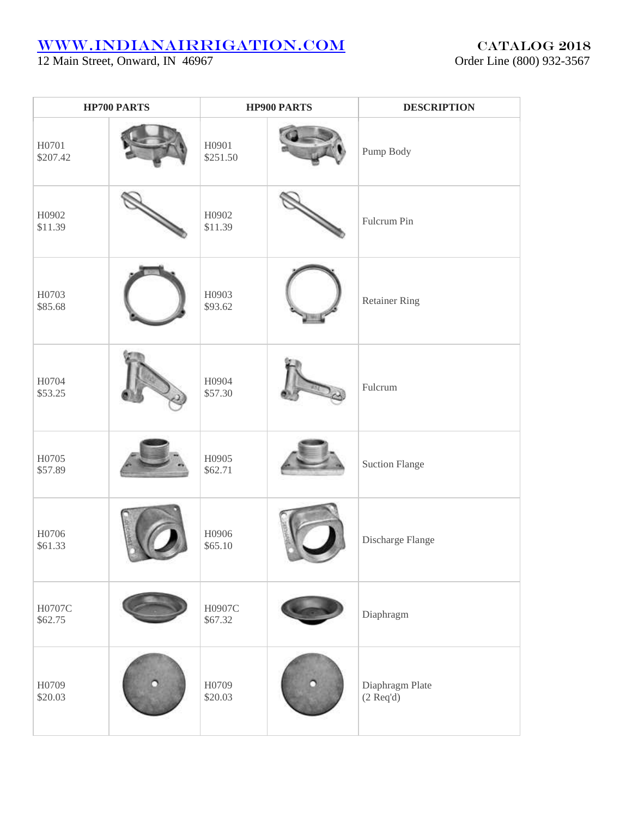## WWW.INDIANAIRRIGATION.COM CATALOG 2018

12 Main Street, Onward, IN 46967 Corder Line (800) 932-3567

| HP700 PARTS       |  |                   | <b>HP900 PARTS</b> | <b>DESCRIPTION</b>                     |
|-------------------|--|-------------------|--------------------|----------------------------------------|
| H0701<br>\$207.42 |  | H0901<br>\$251.50 |                    | Pump Body                              |
| H0902<br>\$11.39  |  | H0902<br>\$11.39  |                    | Fulcrum Pin                            |
| H0703<br>\$85.68  |  | H0903<br>\$93.62  |                    | Retainer Ring                          |
| H0704<br>\$53.25  |  | H0904<br>\$57.30  |                    | Fulcrum                                |
| H0705<br>\$57.89  |  | H0905<br>\$62.71  |                    | <b>Suction Flange</b>                  |
| H0706<br>\$61.33  |  | H0906<br>\$65.10  |                    | Discharge Flange                       |
| H0707C<br>\$62.75 |  | H0907C<br>\$67.32 |                    | Diaphragm                              |
| H0709<br>\$20.03  |  | H0709<br>\$20.03  |                    | Diaphragm Plate<br>$(2 \text{ Req'd})$ |